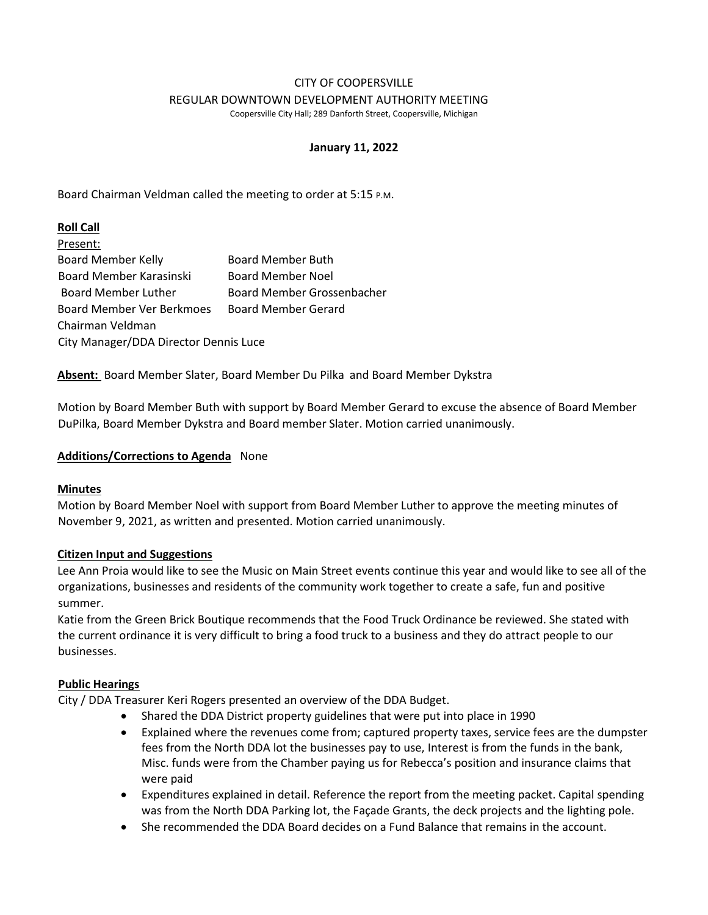#### CITY OF COOPERSVILLE REGULAR DOWNTOWN DEVELOPMENT AUTHORITY MEETING

Coopersville City Hall; 289 Danforth Street, Coopersville, Michigan

### **January 11, 2022**

Board Chairman Veldman called the meeting to order at 5:15 P.M.

### **Roll Call**

| Present:                              |                            |
|---------------------------------------|----------------------------|
| <b>Board Member Kelly</b>             | <b>Board Member Buth</b>   |
| Board Member Karasinski               | <b>Board Member Noel</b>   |
| <b>Board Member Luther</b>            | Board Member Grossenbacher |
| Board Member Ver Berkmoes             | <b>Board Member Gerard</b> |
| Chairman Veldman                      |                            |
| City Manager/DDA Director Dennis Luce |                            |

**Absent:** Board Member Slater, Board Member Du Pilka and Board Member Dykstra

Motion by Board Member Buth with support by Board Member Gerard to excuse the absence of Board Member DuPilka, Board Member Dykstra and Board member Slater. Motion carried unanimously.

#### **Additions/Corrections to Agenda** None

### **Minutes**

Motion by Board Member Noel with support from Board Member Luther to approve the meeting minutes of November 9, 2021, as written and presented. Motion carried unanimously.

### **Citizen Input and Suggestions**

Lee Ann Proia would like to see the Music on Main Street events continue this year and would like to see all of the organizations, businesses and residents of the community work together to create a safe, fun and positive summer.

Katie from the Green Brick Boutique recommends that the Food Truck Ordinance be reviewed. She stated with the current ordinance it is very difficult to bring a food truck to a business and they do attract people to our businesses.

### **Public Hearings**

City / DDA Treasurer Keri Rogers presented an overview of the DDA Budget.

- Shared the DDA District property guidelines that were put into place in 1990
- Explained where the revenues come from; captured property taxes, service fees are the dumpster fees from the North DDA lot the businesses pay to use, Interest is from the funds in the bank, Misc. funds were from the Chamber paying us for Rebecca's position and insurance claims that were paid
- Expenditures explained in detail. Reference the report from the meeting packet. Capital spending was from the North DDA Parking lot, the Façade Grants, the deck projects and the lighting pole.
- She recommended the DDA Board decides on a Fund Balance that remains in the account.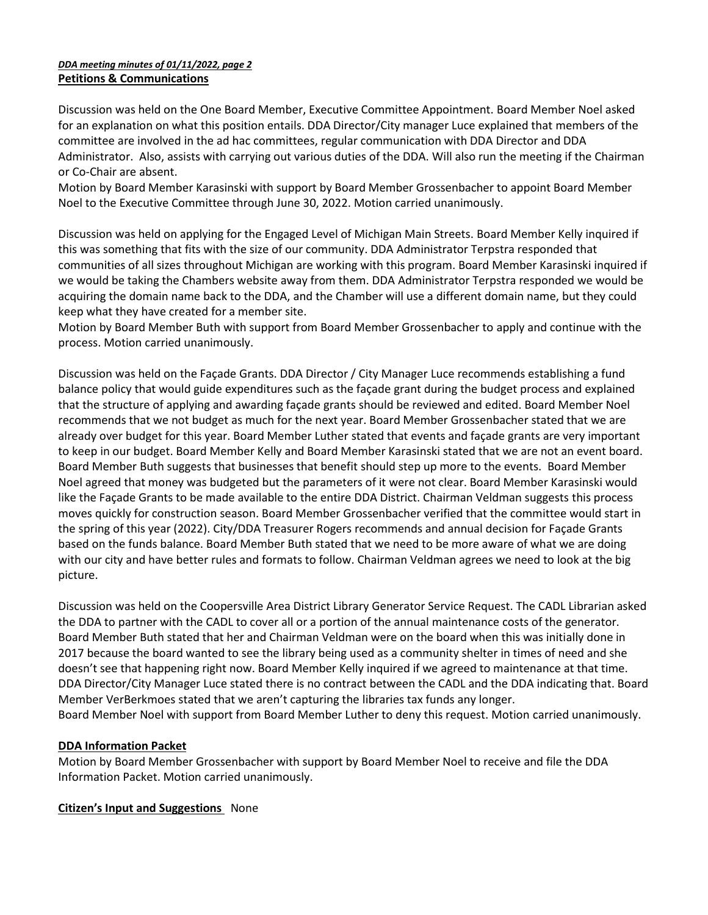### *DDA meeting minutes of 01/11/2022, page 2* **Petitions & Communications**

Discussion was held on the One Board Member, Executive Committee Appointment. Board Member Noel asked for an explanation on what this position entails. DDA Director/City manager Luce explained that members of the committee are involved in the ad hac committees, regular communication with DDA Director and DDA Administrator. Also, assists with carrying out various duties of the DDA. Will also run the meeting if the Chairman or Co-Chair are absent.

Motion by Board Member Karasinski with support by Board Member Grossenbacher to appoint Board Member Noel to the Executive Committee through June 30, 2022. Motion carried unanimously.

Discussion was held on applying for the Engaged Level of Michigan Main Streets. Board Member Kelly inquired if this was something that fits with the size of our community. DDA Administrator Terpstra responded that communities of all sizes throughout Michigan are working with this program. Board Member Karasinski inquired if we would be taking the Chambers website away from them. DDA Administrator Terpstra responded we would be acquiring the domain name back to the DDA, and the Chamber will use a different domain name, but they could keep what they have created for a member site.

Motion by Board Member Buth with support from Board Member Grossenbacher to apply and continue with the process. Motion carried unanimously.

Discussion was held on the Façade Grants. DDA Director / City Manager Luce recommends establishing a fund balance policy that would guide expenditures such as the façade grant during the budget process and explained that the structure of applying and awarding façade grants should be reviewed and edited. Board Member Noel recommends that we not budget as much for the next year. Board Member Grossenbacher stated that we are already over budget for this year. Board Member Luther stated that events and façade grants are very important to keep in our budget. Board Member Kelly and Board Member Karasinski stated that we are not an event board. Board Member Buth suggests that businesses that benefit should step up more to the events. Board Member Noel agreed that money was budgeted but the parameters of it were not clear. Board Member Karasinski would like the Façade Grants to be made available to the entire DDA District. Chairman Veldman suggests this process moves quickly for construction season. Board Member Grossenbacher verified that the committee would start in the spring of this year (2022). City/DDA Treasurer Rogers recommends and annual decision for Façade Grants based on the funds balance. Board Member Buth stated that we need to be more aware of what we are doing with our city and have better rules and formats to follow. Chairman Veldman agrees we need to look at the big picture.

Discussion was held on the Coopersville Area District Library Generator Service Request. The CADL Librarian asked the DDA to partner with the CADL to cover all or a portion of the annual maintenance costs of the generator. Board Member Buth stated that her and Chairman Veldman were on the board when this was initially done in 2017 because the board wanted to see the library being used as a community shelter in times of need and she doesn't see that happening right now. Board Member Kelly inquired if we agreed to maintenance at that time. DDA Director/City Manager Luce stated there is no contract between the CADL and the DDA indicating that. Board Member VerBerkmoes stated that we aren't capturing the libraries tax funds any longer. Board Member Noel with support from Board Member Luther to deny this request. Motion carried unanimously.

# **DDA Information Packet**

Motion by Board Member Grossenbacher with support by Board Member Noel to receive and file the DDA Information Packet. Motion carried unanimously.

**Citizen's Input and Suggestions** None